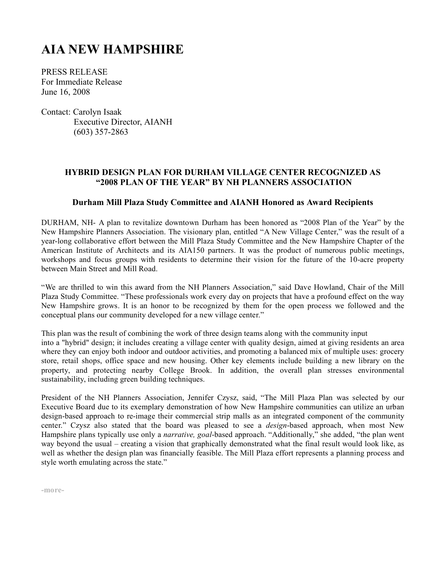## **AIA NEW HAMPSHIRE**

PRESS RELEASE For Immediate Release June 16, 2008

Contact: Carolyn Isaak Executive Director, AIANH (603) 357-2863

## **HYBRID DESIGN PLAN FOR DURHAM VILLAGE CENTER RECOGNIZED AS "2008 PLAN OF THE YEAR" BY NH PLANNERS ASSOCIATION**

## **Durham Mill Plaza Study Committee and AIANH Honored as Award Recipients**

DURHAM, NH- A plan to revitalize downtown Durham has been honored as "2008 Plan of the Year" by the New Hampshire Planners Association. The visionary plan, entitled "A New Village Center," was the result of a year-long collaborative effort between the Mill Plaza Study Committee and the New Hampshire Chapter of the American Institute of Architects and its AIA150 partners. It was the product of numerous public meetings, workshops and focus groups with residents to determine their vision for the future of the 10-acre property between Main Street and Mill Road.

"We are thrilled to win this award from the NH Planners Association," said Dave Howland, Chair of the Mill Plaza Study Committee. "These professionals work every day on projects that have a profound effect on the way New Hampshire grows. It is an honor to be recognized by them for the open process we followed and the conceptual plans our community developed for a new village center."

This plan was the result of combining the work of three design teams along with the community input into a "hybrid" design; it includes creating a village center with quality design, aimed at giving residents an area where they can enjoy both indoor and outdoor activities, and promoting a balanced mix of multiple uses: grocery store, retail shops, office space and new housing. Other key elements include building a new library on the property, and protecting nearby College Brook. In addition, the overall plan stresses environmental sustainability, including green building techniques.

President of the NH Planners Association, Jennifer Czysz, said, "The Mill Plaza Plan was selected by our Executive Board due to its exemplary demonstration of how New Hampshire communities can utilize an urban design-based approach to re-image their commercial strip malls as an integrated component of the community center." Czysz also stated that the board was pleased to see a *design*-based approach, when most New Hampshire plans typically use only a *narrative, goal*-based approach. "Additionally," she added, "the plan went way beyond the usual – creating a vision that graphically demonstrated what the final result would look like, as well as whether the design plan was financially feasible. The Mill Plaza effort represents a planning process and style worth emulating across the state."

**-more-**